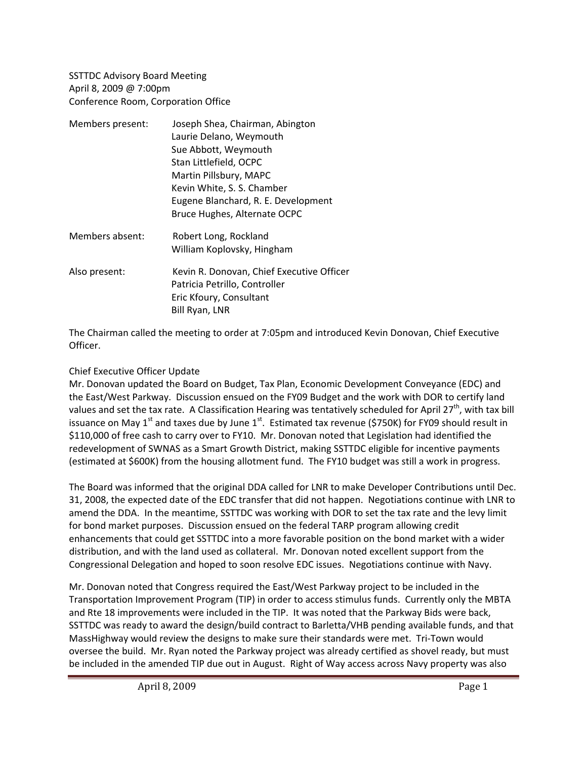## SSTTDC Advisory Board Meeting April 8, 2009 @ 7:00pm Conference Room, Corporation Office

| Members present: | Joseph Shea, Chairman, Abington<br>Laurie Delano, Weymouth<br>Sue Abbott, Weymouth<br>Stan Littlefield, OCPC<br>Martin Pillsbury, MAPC<br>Kevin White, S. S. Chamber<br>Eugene Blanchard, R. E. Development<br>Bruce Hughes, Alternate OCPC |
|------------------|---------------------------------------------------------------------------------------------------------------------------------------------------------------------------------------------------------------------------------------------|
| Members absent:  | Robert Long, Rockland<br>William Koplovsky, Hingham                                                                                                                                                                                         |
| Also present:    | Kevin R. Donovan, Chief Executive Officer<br>Patricia Petrillo, Controller<br>Eric Kfoury, Consultant                                                                                                                                       |

Bill Ryan, LNR

The Chairman called the meeting to order at 7:05pm and introduced Kevin Donovan, Chief Executive Officer.

## Chief Executive Officer Update

Mr. Donovan updated the Board on Budget, Tax Plan, Economic Development Conveyance (EDC) and the East/West Parkway. Discussion ensued on the FY09 Budget and the work with DOR to certify land values and set the tax rate. A Classification Hearing was tentatively scheduled for April 27<sup>th</sup>, with tax bill issuance on May 1<sup>st</sup> and taxes due by June 1<sup>st</sup>. Estimated tax revenue (\$750K) for FY09 should result in \$110,000 of free cash to carry over to FY10. Mr. Donovan noted that Legislation had identified the redevelopment of SWNAS as a Smart Growth District, making SSTTDC eligible for incentive payments (estimated at \$600K) from the housing allotment fund. The FY10 budget was still a work in progress.

The Board was informed that the original DDA called for LNR to make Developer Contributions until Dec. 31, 2008, the expected date of the EDC transfer that did not happen. Negotiations continue with LNR to amend the DDA. In the meantime, SSTTDC was working with DOR to set the tax rate and the levy limit for bond market purposes. Discussion ensued on the federal TARP program allowing credit enhancements that could get SSTTDC into a more favorable position on the bond market with a wider distribution, and with the land used as collateral. Mr. Donovan noted excellent support from the Congressional Delegation and hoped to soon resolve EDC issues. Negotiations continue with Navy.

Mr. Donovan noted that Congress required the East/West Parkway project to be included in the Transportation Improvement Program (TIP) in order to access stimulus funds. Currently only the MBTA and Rte 18 improvements were included in the TIP. It was noted that the Parkway Bids were back, SSTTDC was ready to award the design/build contract to Barletta/VHB pending available funds, and that MassHighway would review the designs to make sure their standards were met. Tri‐Town would oversee the build. Mr. Ryan noted the Parkway project was already certified as shovel ready, but must be included in the amended TIP due out in August. Right of Way access across Navy property was also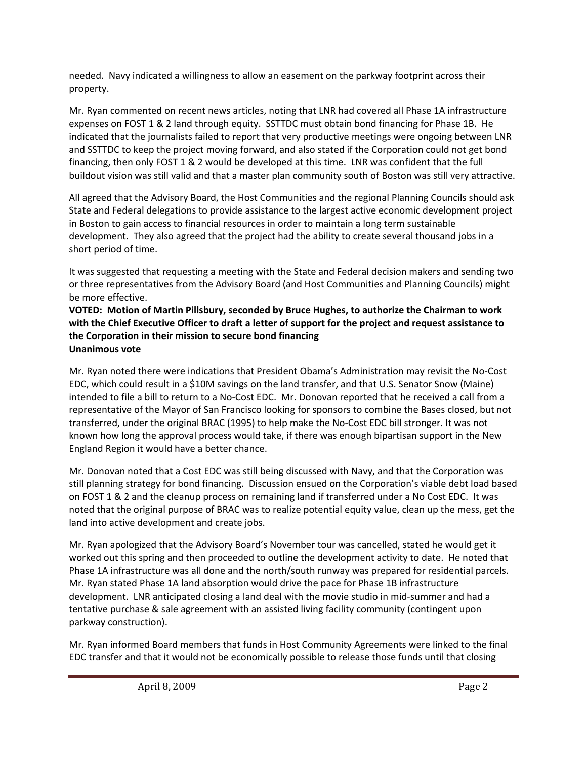needed. Navy indicated a willingness to allow an easement on the parkway footprint across their property.

Mr. Ryan commented on recent news articles, noting that LNR had covered all Phase 1A infrastructure expenses on FOST 1 & 2 land through equity. SSTTDC must obtain bond financing for Phase 1B. He indicated that the journalists failed to report that very productive meetings were ongoing between LNR and SSTTDC to keep the project moving forward, and also stated if the Corporation could not get bond financing, then only FOST 1 & 2 would be developed at this time. LNR was confident that the full buildout vision was still valid and that a master plan community south of Boston was still very attractive.

All agreed that the Advisory Board, the Host Communities and the regional Planning Councils should ask State and Federal delegations to provide assistance to the largest active economic development project in Boston to gain access to financial resources in order to maintain a long term sustainable development. They also agreed that the project had the ability to create several thousand jobs in a short period of time.

It was suggested that requesting a meeting with the State and Federal decision makers and sending two or three representatives from the Advisory Board (and Host Communities and Planning Councils) might be more effective.

**VOTED: Motion of Martin Pillsbury, seconded by Bruce Hughes, to authorize the Chairman to work** with the Chief Executive Officer to draft a letter of support for the project and request assistance to **the Corporation in their mission to secure bond financing Unanimous vote**

Mr. Ryan noted there were indications that President Obama's Administration may revisit the No‐Cost EDC, which could result in a \$10M savings on the land transfer, and that U.S. Senator Snow (Maine) intended to file a bill to return to a No‐Cost EDC. Mr. Donovan reported that he received a call from a representative of the Mayor of San Francisco looking for sponsors to combine the Bases closed, but not transferred, under the original BRAC (1995) to help make the No‐Cost EDC bill stronger. It was not known how long the approval process would take, if there was enough bipartisan support in the New England Region it would have a better chance.

Mr. Donovan noted that a Cost EDC was still being discussed with Navy, and that the Corporation was still planning strategy for bond financing. Discussion ensued on the Corporation's viable debt load based on FOST 1 & 2 and the cleanup process on remaining land if transferred under a No Cost EDC. It was noted that the original purpose of BRAC was to realize potential equity value, clean up the mess, get the land into active development and create jobs.

Mr. Ryan apologized that the Advisory Board's November tour was cancelled, stated he would get it worked out this spring and then proceeded to outline the development activity to date. He noted that Phase 1A infrastructure was all done and the north/south runway was prepared for residential parcels. Mr. Ryan stated Phase 1A land absorption would drive the pace for Phase 1B infrastructure development. LNR anticipated closing a land deal with the movie studio in mid‐summer and had a tentative purchase & sale agreement with an assisted living facility community (contingent upon parkway construction).

Mr. Ryan informed Board members that funds in Host Community Agreements were linked to the final EDC transfer and that it would not be economically possible to release those funds until that closing